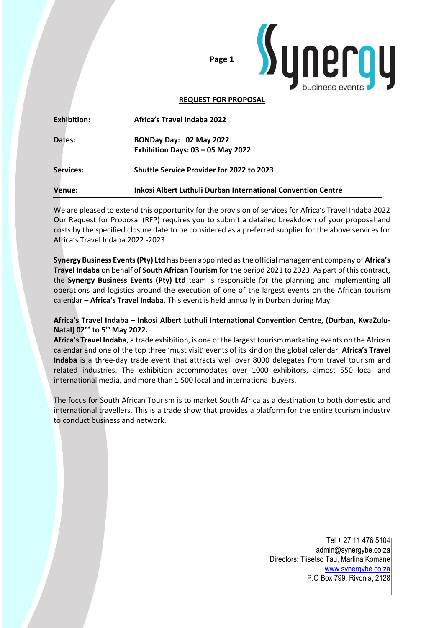



#### **REQUEST FOR PROPOSAL**

| Venue:             | <b>Inkosi Albert Luthuli Durban International Convention Centre</b> |
|--------------------|---------------------------------------------------------------------|
| Services:          | <b>Shuttle Service Provider for 2022 to 2023</b>                    |
| Dates:             | BONDay Day: 02 May 2022<br>Exhibition Days: $03 - 05$ May 2022      |
| <b>Exhibition:</b> | <b>Africa's Travel Indaba 2022</b>                                  |

We are pleased to extend this opportunity for the provision of services for Africa's Travel Indaba 2022 Our Request for Proposal (RFP) requires you to submit a detailed breakdown of your proposal and costs by the specified closure date to be considered as a preferred supplier for the above services for Africa's Travel Indaba 2022 -2023

**Synergy Business Events (Pty) Ltd** has been appointed as the official management company of **Africa's Travel Indaba** on behalf of **South African Tourism** for the period 2021 to 2023. As part of this contract, the **Synergy Business Events (Pty) Ltd** team is responsible for the planning and implementing all operations and logistics around the execution of one of the largest events on the African tourism calendar – **Africa's Travel Indaba**. This event is held annually in Durban during May.

## **Africa's Travel Indaba – Inkosi Albert Luthuli International Convention Centre, (Durban, KwaZulu-Natal) 02nd to 5th May 2022.**

**Africa's Travel Indaba**, a trade exhibition, is one of the largest tourism marketing events on the African calendar and one of the top three 'must visit' events of its kind on the global calendar. **Africa's Travel Indaba** is a three-day trade event that attracts well over 8000 delegates from travel tourism and related industries. The exhibition accommodates over 1000 exhibitors, almost 550 local and international media, and more than 1 500 local and international buyers.

The focus for South African Tourism is to market South Africa as a destination to both domestic and international travellers. This is a trade show that provides a platform for the entire tourism industry to conduct business and network.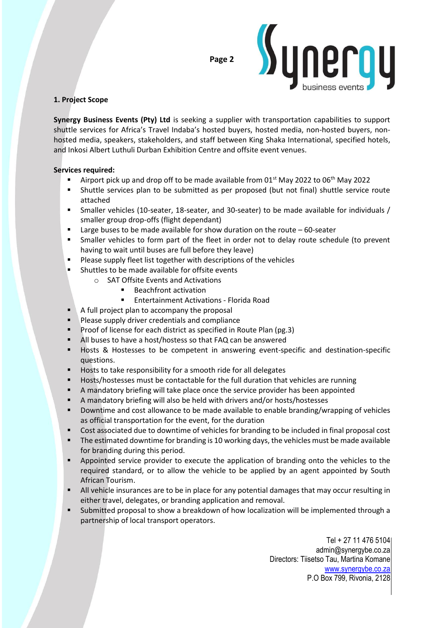

## **1. Project Scope**

**Synergy Business Events (Pty) Ltd** is seeking a supplier with transportation capabilities to support shuttle services for Africa's Travel Indaba's hosted buyers, hosted media, non-hosted buyers, nonhosted media, speakers, stakeholders, and staff between King Shaka International, specified hotels, and Inkosi Albert Luthuli Durban Exhibition Centre and offsite event venues.

## **Services required:**

- Airport pick up and drop off to be made available from 01<sup>st</sup> May 2022 to 06<sup>th</sup> May 2022
- Shuttle services plan to be submitted as per proposed (but not final) shuttle service route attached
- Smaller vehicles (10-seater, 18-seater, and 30-seater) to be made available for individuals / smaller group drop-offs (flight dependant)
- $\blacksquare$  Large buses to be made available for show duration on the route  $-60$ -seater
- Smaller vehicles to form part of the fleet in order not to delay route schedule (to prevent having to wait until buses are full before they leave)
- Please supply fleet list together with descriptions of the vehicles
- Shuttles to be made available for offsite events
	- o SAT Offsite Events and Activations
		- Beachfront activation
		- **Entertainment Activations Florida Road**
- A full project plan to accompany the proposal
- **Please supply driver credentials and compliance**
- Proof of license for each district as specified in Route Plan (pg.3)
- All buses to have a host/hostess so that FAQ can be answered
- Hosts & Hostesses to be competent in answering event-specific and destination-specific questions.
- Hosts to take responsibility for a smooth ride for all delegates
- Hosts/hostesses must be contactable for the full duration that vehicles are running
- A mandatory briefing will take place once the service provider has been appointed
- A mandatory briefing will also be held with drivers and/or hosts/hostesses
- Downtime and cost allowance to be made available to enable branding/wrapping of vehicles as official transportation for the event, for the duration
- Cost associated due to downtime of vehicles for branding to be included in final proposal cost
- **•** The estimated downtime for branding is 10 working days, the vehicles must be made available for branding during this period.
- **EXECT** Appointed service provider to execute the application of branding onto the vehicles to the required standard, or to allow the vehicle to be applied by an agent appointed by South African Tourism.
- All vehicle insurances are to be in place for any potential damages that may occur resulting in either travel, delegates, or branding application and removal.
- Submitted proposal to show a breakdown of how localization will be implemented through a partnership of local transport operators.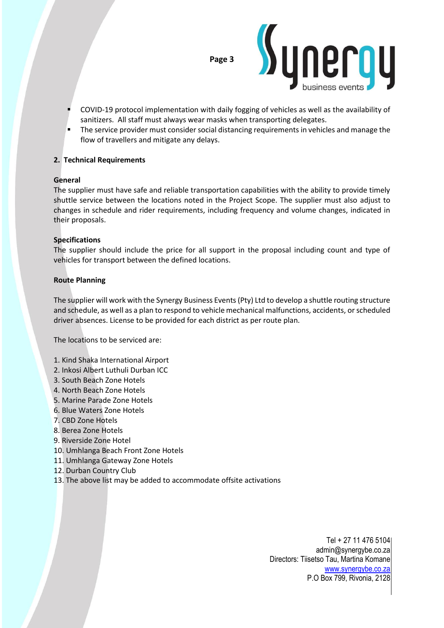



- COVID-19 protocol implementation with daily fogging of vehicles as well as the availability of sanitizers. All staff must always wear masks when transporting delegates.
- The service provider must consider social distancing requirements in vehicles and manage the flow of travellers and mitigate any delays.

## **2. Technical Requirements**

#### **General**

The supplier must have safe and reliable transportation capabilities with the ability to provide timely shuttle service between the locations noted in the Project Scope. The supplier must also adjust to changes in schedule and rider requirements, including frequency and volume changes, indicated in their proposals.

## **Specifications**

The supplier should include the price for all support in the proposal including count and type of vehicles for transport between the defined locations.

#### **Route Planning**

The supplier will work with the Synergy Business Events (Pty) Ltd to develop a shuttle routing structure and schedule, as well as a plan to respond to vehicle mechanical malfunctions, accidents, or scheduled driver absences. License to be provided for each district as per route plan.

The locations to be serviced are:

- 1. Kind Shaka International Airport
- 2. Inkosi Albert Luthuli Durban ICC
- 3. South Beach Zone Hotels
- 4. North Beach Zone Hotels
- 5. Marine Parade Zone Hotels
- 6. Blue Waters Zone Hotels
- 7. CBD Zone Hotels
- 8. Berea Zone Hotels
- 9. Riverside Zone Hotel
- 10. Umhlanga Beach Front Zone Hotels
- 11. Umhlanga Gateway Zone Hotels
- 12. Durban Country Club
- 13. The above list may be added to accommodate offsite activations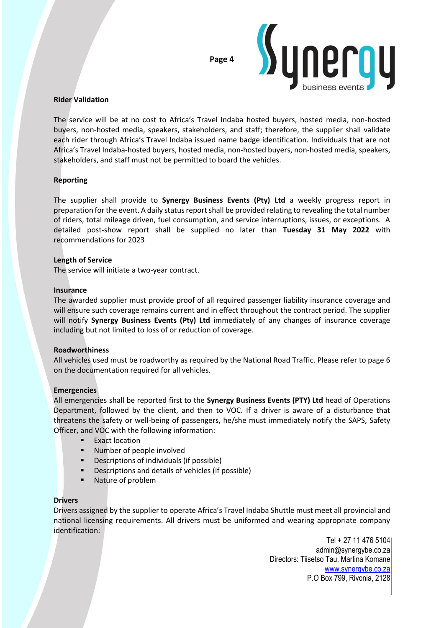

#### **Rider Validation**

The service will be at no cost to Africa's Travel Indaba hosted buyers, hosted media, non-hosted buyers, non-hosted media, speakers, stakeholders, and staff; therefore, the supplier shall validate each rider through Africa's Travel Indaba issued name badge identification. Individuals that are not Africa's Travel Indaba-hosted buyers, hosted media, non-hosted buyers, non-hosted media, speakers, stakeholders, and staff must not be permitted to board the vehicles.

#### **Reporting**

The supplier shall provide to **Synergy Business Events (Pty) Ltd** a weekly progress report in preparation for the event. A daily status report shall be provided relating to revealing the total number of riders, total mileage driven, fuel consumption, and service interruptions, issues, or exceptions. A detailed post-show report shall be supplied no later than **Tuesday 31 May 2022** with recommendations for 2023

#### **Length of Service**

The service will initiate a two-year contract.

#### **Insurance**

The awarded supplier must provide proof of all required passenger liability insurance coverage and will ensure such coverage remains current and in effect throughout the contract period. The supplier will notify **Synergy Business Events (Pty) Ltd** immediately of any changes of insurance coverage including but not limited to loss of or reduction of coverage.

#### **Roadworthiness**

All vehicles used must be roadworthy as required by the National Road Traffic. Please refer to page 6 on the documentation required for all vehicles.

#### **Emergencies**

All emergencies shall be reported first to the **Synergy Business Events (PTY) Ltd** head of Operations Department, followed by the client, and then to VOC. If a driver is aware of a disturbance that threatens the safety or well-being of passengers, he/she must immediately notify the SAPS, Safety Officer, and VOC with the following information:

- **Exact location**
- Number of people involved
- Descriptions of individuals (if possible)
- Descriptions and details of vehicles (if possible)
- Nature of problem

#### **Drivers**

Drivers assigned by the supplier to operate Africa's Travel Indaba Shuttle must meet all provincial and national licensing requirements. All drivers must be uniformed and wearing appropriate company identification: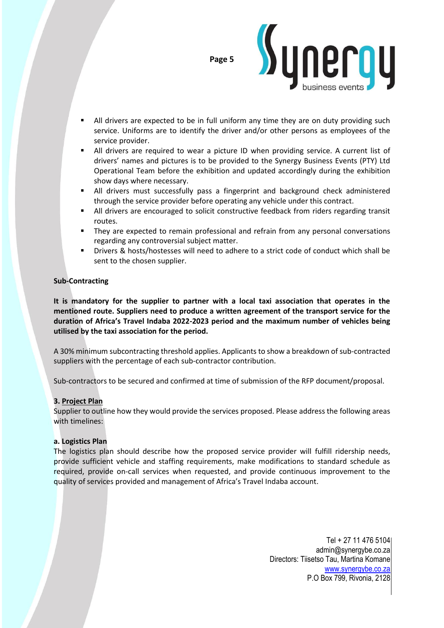



- All drivers are expected to be in full uniform any time they are on duty providing such service. Uniforms are to identify the driver and/or other persons as employees of the service provider.
- All drivers are required to wear a picture ID when providing service. A current list of drivers' names and pictures is to be provided to the Synergy Business Events (PTY) Ltd Operational Team before the exhibition and updated accordingly during the exhibition show days where necessary.
- All drivers must successfully pass a fingerprint and background check administered through the service provider before operating any vehicle under this contract.
- All drivers are encouraged to solicit constructive feedback from riders regarding transit routes.
- They are expected to remain professional and refrain from any personal conversations regarding any controversial subject matter.
- Drivers & hosts/hostesses will need to adhere to a strict code of conduct which shall be sent to the chosen supplier.

## **Sub-Contracting**

**It is mandatory for the supplier to partner with a local taxi association that operates in the mentioned route. Suppliers need to produce a written agreement of the transport service for the duration of Africa's Travel Indaba 2022-2023 period and the maximum number of vehicles being utilised by the taxi association for the period.**

A 30% minimum subcontracting threshold applies. Applicants to show a breakdown of sub-contracted suppliers with the percentage of each sub-contractor contribution.

Sub-contractors to be secured and confirmed at time of submission of the RFP document/proposal.

## **3. Project Plan**

Supplier to outline how they would provide the services proposed. Please address the following areas with timelines:

#### **a. Logistics Plan**

The logistics plan should describe how the proposed service provider will fulfill ridership needs, provide sufficient vehicle and staffing requirements, make modifications to standard schedule as required, provide on-call services when requested, and provide continuous improvement to the quality of services provided and management of Africa's Travel Indaba account.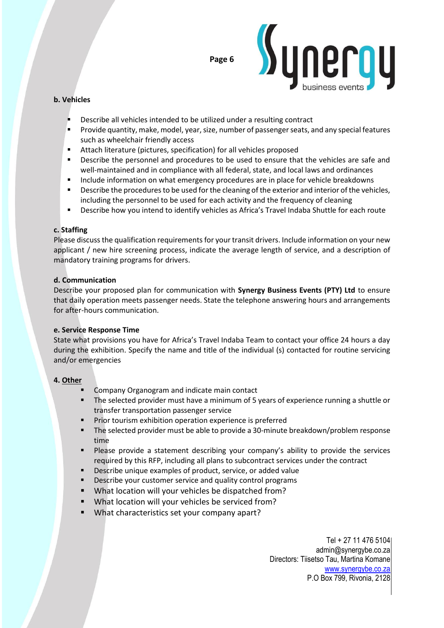

## **b. Vehicles**

- Describe all vehicles intended to be utilized under a resulting contract
- **•** Provide quantity, make, model, year, size, number of passenger seats, and any special features such as wheelchair friendly access
- Attach literature (pictures, specification) for all vehicles proposed
- **•** Describe the personnel and procedures to be used to ensure that the vehicles are safe and well-maintained and in compliance with all federal, state, and local laws and ordinances
- **■** Include information on what emergency procedures are in place for vehicle breakdowns
- **•** Describe the procedures to be used for the cleaning of the exterior and interior of the vehicles, including the personnel to be used for each activity and the frequency of cleaning
- **E** Describe how you intend to identify vehicles as Africa's Travel Indaba Shuttle for each route

#### **c. Staffing**

Please discuss the qualification requirements for your transit drivers. Include information on your new applicant / new hire screening process, indicate the average length of service, and a description of mandatory training programs for drivers.

#### **d. Communication**

Describe your proposed plan for communication with **Synergy Business Events (PTY) Ltd** to ensure that daily operation meets passenger needs. State the telephone answering hours and arrangements for after-hours communication.

#### **e. Service Response Time**

State what provisions you have for Africa's Travel Indaba Team to contact your office 24 hours a day during the exhibition. Specify the name and title of the individual (s) contacted for routine servicing and/or emergencies

## **4. Other**

- Company Organogram and indicate main contact
- The selected provider must have a minimum of 5 years of experience running a shuttle or transfer transportation passenger service
- Prior tourism exhibition operation experience is preferred
- The selected provider must be able to provide a 30-minute breakdown/problem response time
- Please provide a statement describing your company's ability to provide the services required by this RFP, including all plans to subcontract services under the contract
- Describe unique examples of product, service, or added value
- Describe your customer service and quality control programs
- What location will your vehicles be dispatched from?
- What location will your vehicles be serviced from?
- What characteristics set your company apart?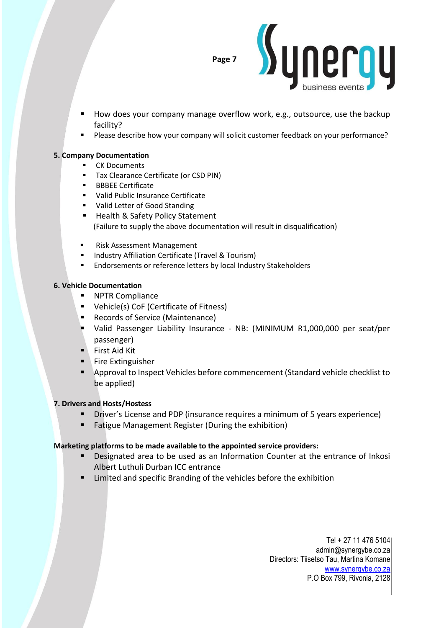

- How does your company manage overflow work, e.g., outsource, use the backup facility?
- Please describe how your company will solicit customer feedback on your performance?

#### **5. Company Documentation**

- CK Documents
- Tax Clearance Certificate (or CSD PIN)
- BBBEE Certificate
- Valid Public Insurance Certificate
- Valid Letter of Good Standing
- Health & Safety Policy Statement (Failure to supply the above documentation will result in disqualification)
- Risk Assessment Management
- Industry Affiliation Certificate (Travel & Tourism)
- Endorsements or reference letters by local Industry Stakeholders

## **6. Vehicle Documentation**

- **NPTR Compliance**
- Vehicle(s) CoF (Certificate of Fitness)
- Records of Service (Maintenance)
- Valid Passenger Liability Insurance NB: (MINIMUM R1,000,000 per seat/per passenger)
- First Aid Kit
- Fire Extinguisher
- Approval to Inspect Vehicles before commencement (Standard vehicle checklist to be applied)

## **7. Drivers and Hosts/Hostess**

- **E** Driver's License and PDP (insurance requires a minimum of 5 years experience)
- Fatigue Management Register (During the exhibition)

## **Marketing platforms to be made available to the appointed service providers:**

- Designated area to be used as an Information Counter at the entrance of Inkosi Albert Luthuli Durban ICC entrance
- Limited and specific Branding of the vehicles before the exhibition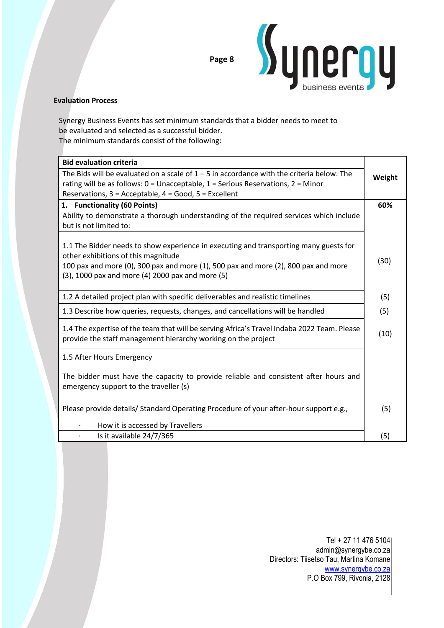

## **Evaluation Process**

Synergy Business Events has set minimum standards that a bidder needs to meet to be evaluated and selected as a successful bidder. The minimum standards consist of the following:

| <b>Bid evaluation criteria</b>                                                                                                                                                                                                                                         |      |  |
|------------------------------------------------------------------------------------------------------------------------------------------------------------------------------------------------------------------------------------------------------------------------|------|--|
| The Bids will be evaluated on a scale of $1 - 5$ in accordance with the criteria below. The<br>rating will be as follows: $0 =$ Unacceptable, $1 =$ Serious Reservations, $2 =$ Minor<br>Reservations, 3 = Acceptable, 4 = Good, 5 = Excellent                         |      |  |
| 1. Functionality (60 Points)                                                                                                                                                                                                                                           | 60%  |  |
| Ability to demonstrate a thorough understanding of the required services which include<br>but is not limited to:                                                                                                                                                       |      |  |
| 1.1 The Bidder needs to show experience in executing and transporting many guests for<br>other exhibitions of this magnitude<br>100 pax and more (0), 300 pax and more (1), 500 pax and more (2), 800 pax and more<br>(3), 1000 pax and more (4) 2000 pax and more (5) | (30) |  |
| 1.2 A detailed project plan with specific deliverables and realistic timelines                                                                                                                                                                                         |      |  |
| 1.3 Describe how queries, requests, changes, and cancellations will be handled                                                                                                                                                                                         |      |  |
| 1.4 The expertise of the team that will be serving Africa's Travel Indaba 2022 Team. Please<br>provide the staff management hierarchy working on the project                                                                                                           |      |  |
| 1.5 After Hours Emergency                                                                                                                                                                                                                                              |      |  |
| The bidder must have the capacity to provide reliable and consistent after hours and<br>emergency support to the traveller (s)                                                                                                                                         |      |  |
| Please provide details/ Standard Operating Procedure of your after-hour support e.g.,                                                                                                                                                                                  |      |  |
| How it is accessed by Travellers                                                                                                                                                                                                                                       |      |  |
| Is it available 24/7/365                                                                                                                                                                                                                                               |      |  |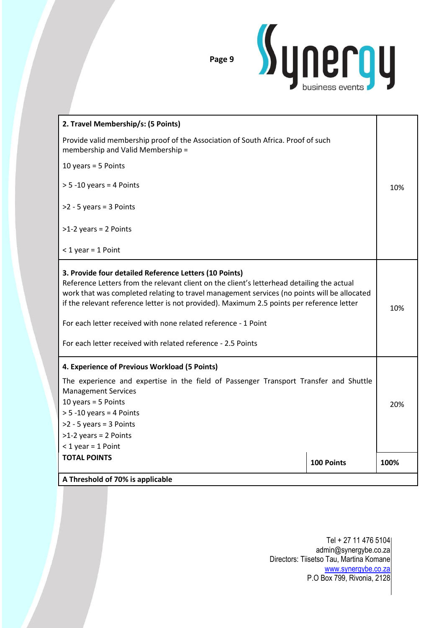

| 2. Travel Membership/s: (5 Points)                                                                                                                                                                                                                                                                                                                                                                                                                                                  |            |      |
|-------------------------------------------------------------------------------------------------------------------------------------------------------------------------------------------------------------------------------------------------------------------------------------------------------------------------------------------------------------------------------------------------------------------------------------------------------------------------------------|------------|------|
| Provide valid membership proof of the Association of South Africa. Proof of such<br>membership and Valid Membership =                                                                                                                                                                                                                                                                                                                                                               |            |      |
| 10 years = $5$ Points                                                                                                                                                                                                                                                                                                                                                                                                                                                               |            |      |
| $> 5 - 10$ years = 4 Points                                                                                                                                                                                                                                                                                                                                                                                                                                                         |            |      |
| $>2 - 5$ years = 3 Points                                                                                                                                                                                                                                                                                                                                                                                                                                                           |            |      |
| $>1-2$ years = 2 Points                                                                                                                                                                                                                                                                                                                                                                                                                                                             |            |      |
| $<$ 1 year = 1 Point                                                                                                                                                                                                                                                                                                                                                                                                                                                                |            |      |
| 3. Provide four detailed Reference Letters (10 Points)<br>Reference Letters from the relevant client on the client's letterhead detailing the actual<br>work that was completed relating to travel management services (no points will be allocated<br>if the relevant reference letter is not provided). Maximum 2.5 points per reference letter<br>For each letter received with none related reference - 1 Point<br>For each letter received with related reference - 2.5 Points |            |      |
| 4. Experience of Previous Workload (5 Points)                                                                                                                                                                                                                                                                                                                                                                                                                                       |            |      |
| The experience and expertise in the field of Passenger Transport Transfer and Shuttle<br><b>Management Services</b><br>10 years = $5$ Points<br>$> 5 - 10$ years = 4 Points<br>$>2 - 5$ years = 3 Points<br>$>1-2$ years = 2 Points                                                                                                                                                                                                                                                 |            |      |
| $<$ 1 year = 1 Point                                                                                                                                                                                                                                                                                                                                                                                                                                                                |            |      |
| <b>TOTAL POINTS</b>                                                                                                                                                                                                                                                                                                                                                                                                                                                                 | 100 Points | 100% |
| A Threshold of 70% is applicable                                                                                                                                                                                                                                                                                                                                                                                                                                                    |            |      |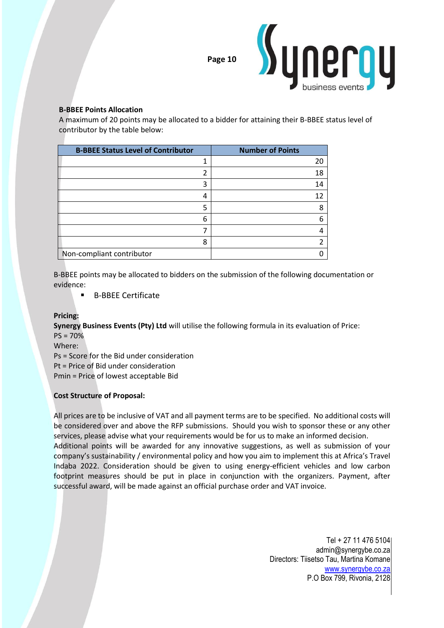

## **B-BBEE Points Allocation**

A maximum of 20 points may be allocated to a bidder for attaining their B-BBEE status level of contributor by the table below:

| <b>B-BBEE Status Level of Contributor</b> | <b>Number of Points</b> |
|-------------------------------------------|-------------------------|
|                                           | 20                      |
| า                                         | 18                      |
| 3                                         | 14                      |
| 4                                         | 12                      |
| 5                                         | 8                       |
| 6                                         | 6                       |
|                                           |                         |
| 8                                         | $\mathcal{P}$           |
| Non-compliant contributor                 |                         |

B-BBEE points may be allocated to bidders on the submission of the following documentation or evidence:

■ B-BBEE Certificate

#### **Pricing:**

**Synergy Business Events (Pty) Ltd** will utilise the following formula in its evaluation of Price: PS = 70%

Where:

Ps = Score for the Bid under consideration

Pt = Price of Bid under consideration

Pmin = Price of lowest acceptable Bid

## **Cost Structure of Proposal:**

All prices are to be inclusive of VAT and all payment terms are to be specified. No additional costs will be considered over and above the RFP submissions. Should you wish to sponsor these or any other services, please advise what your requirements would be for us to make an informed decision.

Additional points will be awarded for any innovative suggestions, as well as submission of your company's sustainability / environmental policy and how you aim to implement this at Africa's Travel Indaba 2022. Consideration should be given to using energy-efficient vehicles and low carbon footprint measures should be put in place in conjunction with the organizers. Payment, after successful award, will be made against an official purchase order and VAT invoice.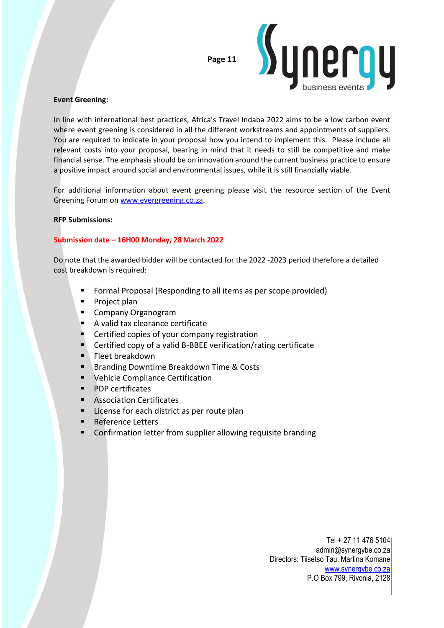

#### **Event Greening:**

In line with international best practices, Africa's Travel Indaba 2022 aims to be a low carbon event where event greening is considered in all the different workstreams and appointments of suppliers. You are required to indicate in your proposal how you intend to implement this. Please include all relevant costs into your proposal, bearing in mind that it needs to still be competitive and make financial sense. The emphasis should be on innovation around the current business practice to ensure a positive impact around social and environmental issues, while it is still financially viable.

For additional information about event greening please visit the resource section of the Event Greening Forum on [www.evergreening.co.za.](http://www.eventgreening.co.za/)

#### **RFP Submissions:**

## **Submission date – 16H00 Monday, 28March 2022**

Do note that the awarded bidder will be contacted for the 2022 -2023 period therefore a detailed cost breakdown is required:

- Formal Proposal (Responding to all items as per scope provided)
- Project plan
- Company Organogram
- A valid tax clearance certificate
- Certified copies of your company registration
- Certified copy of a valid B-BBEE verification/rating certificate
- Fleet breakdown
- Branding Downtime Breakdown Time & Costs
- Vehicle Compliance Certification
- **PDP certificates**
- Association Certificates
- License for each district as per route plan
- **Reference Letters**
- Confirmation letter from supplier allowing requisite branding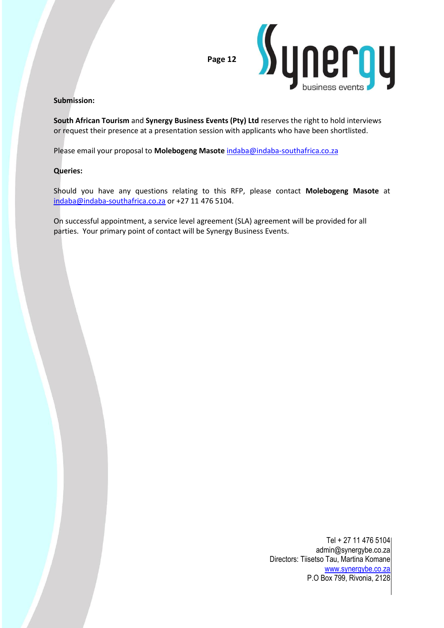

#### **Submission:**

**South African Tourism** and **Synergy Business Events (Pty) Ltd** reserves the right to hold interviews or request their presence at a presentation session with applicants who have been shortlisted.

Please email your proposal to **Molebogeng Masote** [indaba@indaba-southafrica.co.za](mailto:indaba@indaba-southafrica.co.za)

#### **Queries:**

Should you have any questions relating to this RFP, please contact **Molebogeng Masote** at [indaba@indaba-southafrica.co.za](mailto:indaba@indaba-southafrica.co.za) or +27 11 476 5104.

On successful appointment, a service level agreement (SLA) agreement will be provided for all parties. Your primary point of contact will be Synergy Business Events.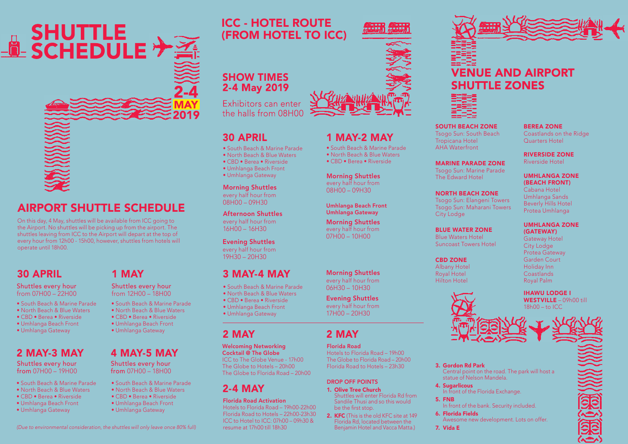



# AIRPORT SHUTTLE SCHEDULE

On this day, 4 May, shuttles will be available from ICC going to the Airport. No shuttles will be picking up from the airport. The shuttles leaving from ICC to the Airport will depart at the top of every hour from 12h00 - 15h00, however, shuttles from hotels will operate until 18h00.

## 30 APRIL

Shuttles every hour from 07H00 – 22H00

- South Beach & Marine Parade
- North Beach & Blue Waters
- CBD Berea Riverside
- Umhlanga Beach Front
- Umhlanga Gateway

## 2 MAY-3 MAY

Shuttles every hour from 07H00 – 19H00

- South Beach & Marine Parade
- North Beach & Blue Waters
- CBD Berea Riverside
- Umhlanga Beach Front
- Umhlanga Gateway

## 1 MAY

Shuttles every hour from 12H00 – 18H00

- South Beach & Marine Parade
- 
- 
- 
- 

# 4 MAY-5 MAY

Shuttles every hour from 07H00 – 18H00

- South Beach & Marine Parade • North Beach & Blue Waters
- 
- CBD Berea Riverside
- Umhlanga Beach Front
- Umhlanga Gateway

# ICC - HOTEL ROUTE (FROM HOTEL TO ICC)

## 1 MAY-2 MAY

• South Beach & Marine Parade • North Beach & Blue Waters • CBD • Berea • Riverside

Morning Shuttles every half hour from 08H00 – 09H30

#### Umhlanga Beach Front Umhlanga Gateway

Morning Shuttles every half hour from 07H00 – 10H00

Morning Shuttles every half hour from 06H30 – 10H30

#### Evening Shuttles every half hour from

17H00 – 20H30

# 2 MAY

Florida Road Hotels to Florida Road – 19h00 The Globe to Florida Road – 20h00 Florida Road to Hotels – 23h30

#### DROP OFF POINTS

- 1. Olive Tree Church Shuttles will enter Florida Rd from
- Sandile Thusi and so this would be the first stop. 2. KFC (This is the old KFC site at 149) Florida Rd, located between the Benjamin Hotel and Vacca Matta.)



# **VENUE AND AIRPORT SHUTTLE ZONES**

SOUTH BEACH ZONE Tsogo Sun: South Beach Tropicana Hotel AHA Waterfront

MARINE PARADE ZONE Tsogo Sun: Marine Parade The Edward Hotel

NORTH BEACH ZONE Tsogo Sun: Elangeni Towers Tsogo Sun: Maharani Towers

BLUE WATER ZONE Blue Waters Hotel Suncoast Towers Hotel

City Lodge

CBD ZONE Albany Hotel Royal Hotel Hilton Hotel

## Quarters Hotel RIVERSIDE ZONE

Riverside Hotel

BEREA ZONE

Coastlands on the Ridge

#### UMHLANGA ZONE (BEACH FRONT) Cabana Hotel

Umhlanga Sands Beverly Hills Hotel Protea Umhlanga

#### UMHLANGA ZONE (GATEWAY)

Gateway Hotel City Lodge Protea Gateway Garden Court Holiday Inn Coastlands Royal Palm

WESTVILLE – 09h00 till



#### 3. Gordon Rd Park Central point on the road. The park will host a statue of Nelson Mandela.

4. Sugarlicous In front of the Florida Exchange.

## 5. FNB

In front of the bank. Security included.

6. Florida Fields Awesome new development. Lots on offer.

7. Vida E



- North Beach & Blue Waters
- CBD Berea Riverside
- Umhlanga Beach Front
- Umhlanga Gateway

Afternoon Shuttles every half hour from 16H00 – 16H30

30 APRIL

• South Beach & Marine Parade • North Beach & Blue Waters • CBD • Berea • Riverside • Umhlanga Beach Front • Umhlanga Gateway Morning Shuttles every half hour from 08H00 – 09H30

Exhibitors can enter the halls from 08H00

SHOW TIMES<br>2-4 May 2019

Evening Shuttles every half hour from  $19H30 - 20H30$ 

# 3 MAY-4 MAY

- South Beach & Marine Parade
- North Beach & Blue Waters
- CBD Berea Riverside
- Umhlanga Beach Front • Umhlanga Gateway
- 2 MAY

#### Welcoming Networking Cocktail @ The Globe

ICC to The Globe Venue - 17h00 The Globe to Hotels – 20h00 The Globe to Florida Road – 20h00

# 2-4 MAY

Florida Road Activation

Hotels to Florida Road – 19h00-22h00 Florida Road to Hotels – 22h00-23h30 ICC to Hotel to ICC: 07h00 – 09h30 & resume at 17h00 till 18h30